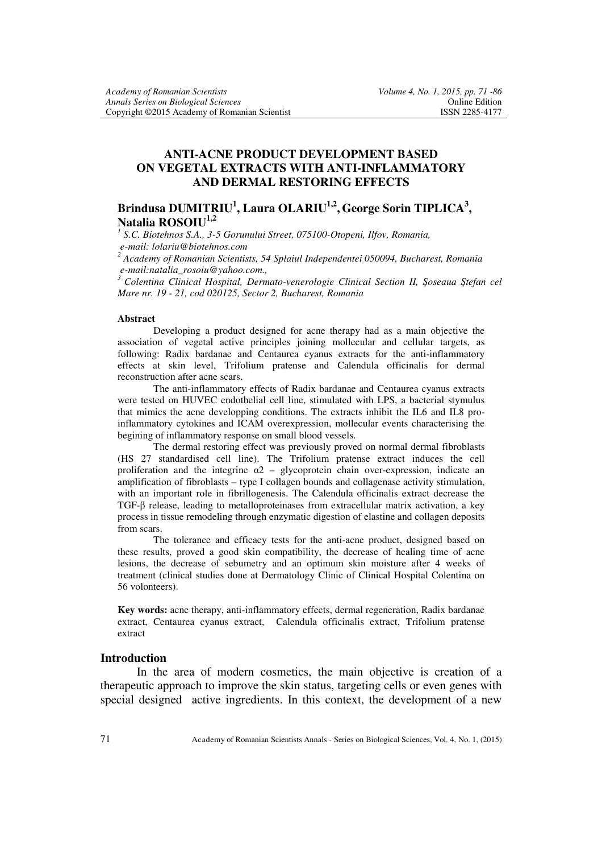# **ANTI-ACNE PRODUCT DEVELOPMENT BASED ON VEGETAL EXTRACTS WITH ANTI-INFLAMMATORY AND DERMAL RESTORING EFFECTS**

# **Brindusa DUMITRIU<sup>1</sup> , Laura OLARIU1,2 , George Sorin TIPLICA<sup>3</sup> , Natalia ROSOIU1,2**

<sup>1</sup> S.C. Biotehnos S.A., 3-5 Gorunului Street, 075100-Otopeni, Ilfov, Romania,  *e-mail: lolariu@biotehnos.com 2 Academy of Romanian Scientists, 54 Splaiul Independentei 050094, Bucharest, Romania* 

 *e-mail:natalia\_rosoiu@yahoo.com.,* 

*<sup>3</sup>Colentina Clinical Hospital, Dermato-venerologie Clinical Section II, Şoseaua Ştefan cel Mare nr. 19 - 21, cod 020125, Sector 2, Bucharest, Romania* 

#### **Abstract**

Developing a product designed for acne therapy had as a main objective the association of vegetal active principles joining mollecular and cellular targets, as following: Radix bardanae and Centaurea cyanus extracts for the anti-inflammatory effects at skin level, Trifolium pratense and Calendula officinalis for dermal reconstruction after acne scars.

The anti-inflammatory effects of Radix bardanae and Centaurea cyanus extracts were tested on HUVEC endothelial cell line, stimulated with LPS, a bacterial stymulus that mimics the acne developping conditions. The extracts inhibit the IL6 and IL8 proinflammatory cytokines and ICAM overexpression, mollecular events characterising the begining of inflammatory response on small blood vessels.

The dermal restoring effect was previously proved on normal dermal fibroblasts (HS 27 standardised cell line). The Trifolium pratense extract induces the cell proliferation and the integrine  $\alpha$ 2 – glycoprotein chain over-expression, indicate an amplification of fibroblasts – type I collagen bounds and collagenase activity stimulation, with an important role in fibrillogenesis. The Calendula officinalis extract decrease the TGF-β release, leading to metalloproteinases from extracellular matrix activation, a key process in tissue remodeling through enzymatic digestion of elastine and collagen deposits from scars.

The tolerance and efficacy tests for the anti-acne product, designed based on these results, proved a good skin compatibility, the decrease of healing time of acne lesions, the decrease of sebumetry and an optimum skin moisture after 4 weeks of treatment (clinical studies done at Dermatology Clinic of Clinical Hospital Colentina on 56 volonteers).

**Key words:** acne therapy, anti-inflammatory effects, dermal regeneration, Radix bardanae extract, Centaurea cyanus extract, Calendula officinalis extract, Trifolium pratense extract

#### **Introduction**

In the area of modern cosmetics, the main objective is creation of a therapeutic approach to improve the skin status, targeting cells or even genes with special designed active ingredients. In this context, the development of a new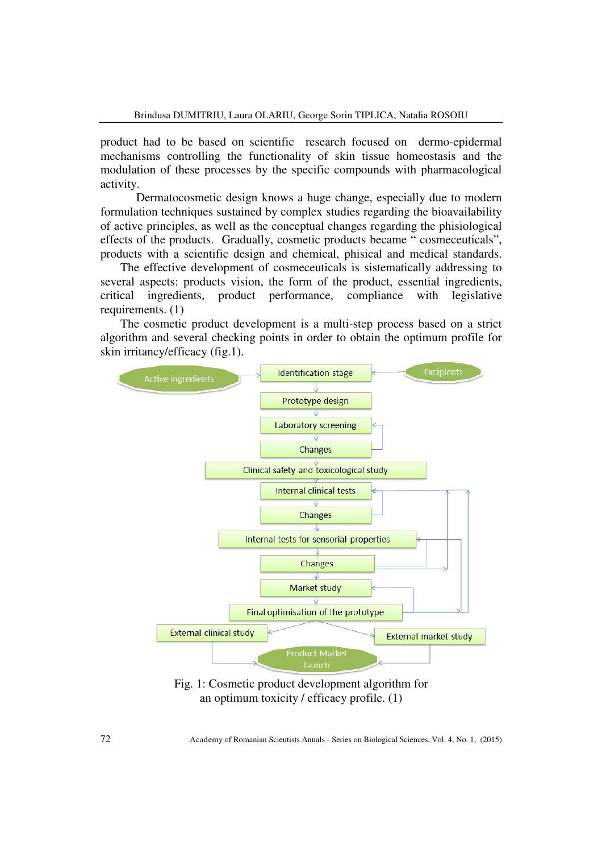product had to be based on scientific research focused on dermo-epidermal mechanisms controlling the functionality of skin tissue homeostasis and the modulation of these processes by the specific compounds with pharmacological activity.

Dermatocosmetic design knows a huge change, especially due to modern formulation techniques sustained by complex studies regarding the bioavailability of active principles, as well as the conceptual changes regarding the phisiological effects of the products. Gradually, cosmetic products became " cosmeceuticals", products with a scientific design and chemical, phisical and medical standards.

 The effective development of cosmeceuticals is sistematically addressing to several aspects: products vision, the form of the product, essential ingredients, critical ingredients, product performance, compliance with legislative requirements. (1)

 The cosmetic product development is a multi-step process based on a strict algorithm and several checking points in order to obtain the optimum profile for skin irritancy/efficacy (fig.1).



Fig. 1: Cosmetic product development algorithm for an optimum toxicity / efficacy profile. (1)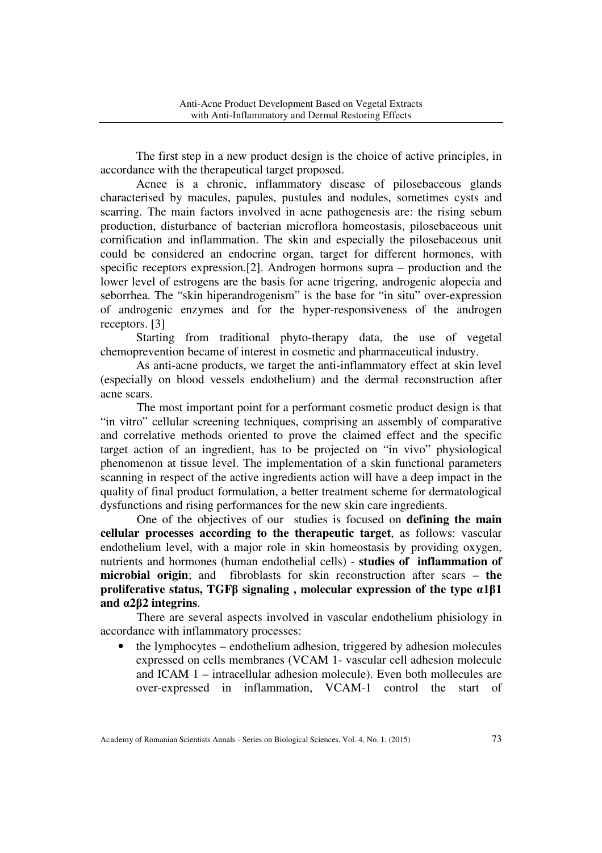The first step in a new product design is the choice of active principles, in accordance with the therapeutical target proposed.

Acnee is a chronic, inflammatory disease of pilosebaceous glands characterised by macules, papules, pustules and nodules, sometimes cysts and scarring. The main factors involved in acne pathogenesis are: the rising sebum production, disturbance of bacterian microflora homeostasis, pilosebaceous unit cornification and inflammation. The skin and especially the pilosebaceous unit could be considered an endocrine organ, target for different hormones, with specific receptors expression.[2]. Androgen hormons supra – production and the lower level of estrogens are the basis for acne trigering, androgenic alopecia and seborrhea. The "skin hiperandrogenism" is the base for "in situ" over-expression of androgenic enzymes and for the hyper-responsiveness of the androgen receptors. [3]

Starting from traditional phyto-therapy data, the use of vegetal chemoprevention became of interest in cosmetic and pharmaceutical industry.

As anti-acne products, we target the anti-inflammatory effect at skin level (especially on blood vessels endothelium) and the dermal reconstruction after acne scars.

The most important point for a performant cosmetic product design is that "in vitro" cellular screening techniques, comprising an assembly of comparative and correlative methods oriented to prove the claimed effect and the specific target action of an ingredient, has to be projected on "in vivo" physiological phenomenon at tissue level. The implementation of a skin functional parameters scanning in respect of the active ingredients action will have a deep impact in the quality of final product formulation, a better treatment scheme for dermatological dysfunctions and rising performances for the new skin care ingredients.

One of the objectives of our studies is focused on **defining the main cellular processes according to the therapeutic target**, as follows: vascular endothelium level, with a major role in skin homeostasis by providing oxygen, nutrients and hormones (human endothelial cells) - **studies of inflammation of microbial origin**; and fibroblasts for skin reconstruction after scars – **the proliferative status, TGFβ signaling , molecular expression of the type α1β1 and α2β2 integrins**.

There are several aspects involved in vascular endothelium phisiology in accordance with inflammatory processes:

• the lymphocytes – endothelium adhesion, triggered by adhesion molecules expressed on cells membranes (VCAM 1- vascular cell adhesion molecule and ICAM 1 – intracellular adhesion molecule). Even both mollecules are over-expressed in inflammation, VCAM-1 control the start of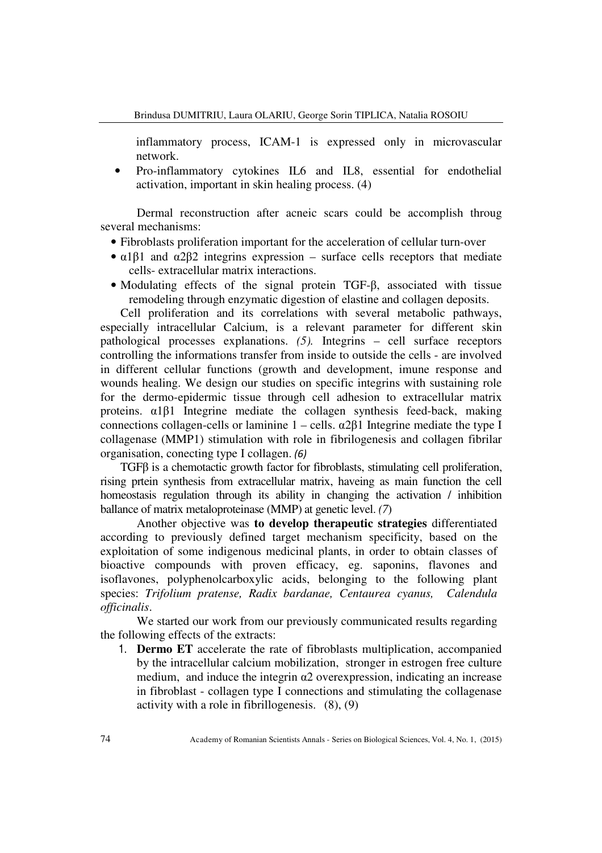inflammatory process, ICAM-1 is expressed only in microvascular network.

• Pro-inflammatory cytokines IL6 and IL8, essential for endothelial activation, important in skin healing process. (4)

Dermal reconstruction after acneic scars could be accomplish throug several mechanisms:

- Fibroblasts proliferation important for the acceleration of cellular turn-over
- $\alpha$ 1 $\beta$ 1 and  $\alpha$ 2 $\beta$ 2 integrins expression surface cells receptors that mediate cells- extracellular matrix interactions.
- Modulating effects of the signal protein TGF-β, associated with tissue remodeling through enzymatic digestion of elastine and collagen deposits.

 Cell proliferation and its correlations with several metabolic pathways, especially intracellular Calcium, is a relevant parameter for different skin pathological processes explanations. *(5).* Integrins – cell surface receptors controlling the informations transfer from inside to outside the cells - are involved in different cellular functions (growth and development, imune response and wounds healing. We design our studies on specific integrins with sustaining role for the dermo-epidermic tissue through cell adhesion to extracellular matrix proteins. α1β1 Integrine mediate the collagen synthesis feed-back, making connections collagen-cells or laminine  $1 - \text{cells}$ .  $\alpha 2\beta 1$  Integrine mediate the type I collagenase (MMP1) stimulation with role in fibrilogenesis and collagen fibrilar organisation, conecting type I collagen. *(6)* 

 TGFβ is a chemotactic growth factor for fibroblasts, stimulating cell proliferation, rising prtein synthesis from extracellular matrix, haveing as main function the cell homeostasis regulation through its ability in changing the activation / inhibition ballance of matrix metaloproteinase (MMP) at genetic level. *(7*)

Another objective was **to develop therapeutic strategies** differentiated according to previously defined target mechanism specificity, based on the exploitation of some indigenous medicinal plants, in order to obtain classes of bioactive compounds with proven efficacy, eg. saponins, flavones and isoflavones, polyphenolcarboxylic acids, belonging to the following plant species: *Trifolium pratense, Radix bardanae, Centaurea cyanus, Calendula officinalis*.

We started our work from our previously communicated results regarding the following effects of the extracts:

1. **Dermo ET** accelerate the rate of fibroblasts multiplication, accompanied by the intracellular calcium mobilization, stronger in estrogen free culture medium, and induce the integrin  $\alpha$ 2 overexpression, indicating an increase in fibroblast - collagen type I connections and stimulating the collagenase activity with a role in fibrillogenesis. (8), (9)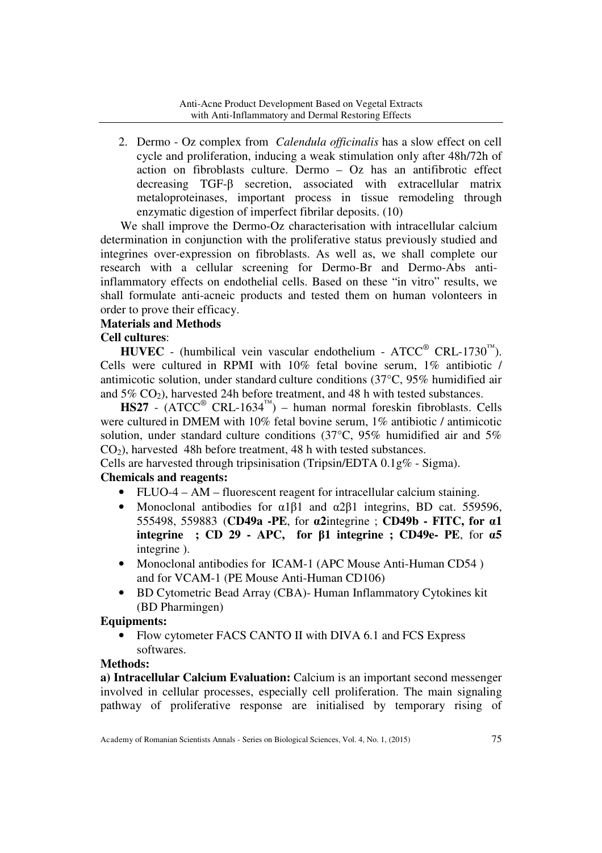2. Dermo - Oz complex from *Calendula officinalis* has a slow effect on cell cycle and proliferation, inducing a weak stimulation only after 48h/72h of action on fibroblasts culture. Dermo – Oz has an antifibrotic effect decreasing TGF-β secretion, associated with extracellular matrix metaloproteinases, important process in tissue remodeling through enzymatic digestion of imperfect fibrilar deposits. (10)

 We shall improve the Dermo-Oz characterisation with intracellular calcium determination in conjunction with the proliferative status previously studied and integrines over-expression on fibroblasts. As well as, we shall complete our research with a cellular screening for Dermo-Br and Dermo-Abs antiinflammatory effects on endothelial cells. Based on these "in vitro" results, we shall formulate anti-acneic products and tested them on human volonteers in order to prove their efficacy.

## **Materials and Methods**

## **Cell cultures**:

**HUVEC** - (humbilical vein vascular endothelium -  $\text{ATCC}^{\circledcirc}$  CRL-1730<sup>™</sup>). Cells were cultured in RPMI with 10% fetal bovine serum, 1% antibiotic / antimicotic solution, under standard culture conditions (37°C, 95% humidified air and  $5\%$  CO<sub>2</sub>), harvested 24h before treatment, and 48 h with tested substances.

 $\text{HS}27$  - (ATCC<sup>®</sup> CRL-1634<sup>™</sup>) – human normal foreskin fibroblasts. Cells were cultured in DMEM with 10% fetal bovine serum, 1% antibiotic / antimicotic solution, under standard culture conditions  $(37^{\circ}C, 95\%$  humidified air and  $5\%$  $CO<sub>2</sub>$ ), harvested 48h before treatment, 48 h with tested substances.

Cells are harvested through tripsinisation (Tripsin/EDTA 0.1g% - Sigma).

# **Chemicals and reagents:**

- FLUO-4 AM fluorescent reagent for intracellular calcium staining.
- Monoclonal antibodies for  $\alpha$ 1 $\beta$ 1 and  $\alpha$ 2 $\beta$ 1 integrins, BD cat. 559596, 555498, 559883 (**CD49a -PE**, for **α2**integrine ; **CD49b - FITC, for α1 integrine ; CD 29 - APC, for β1 integrine ; CD49e- PE**, for **α5**  integrine ).
- Monoclonal antibodies for ICAM-1 (APC Mouse Anti-Human CD54 ) and for VCAM-1 (PE Mouse Anti-Human CD106)
- BD Cytometric Bead Array (CBA)- Human Inflammatory Cytokines kit (BD Pharmingen)

## **Equipments:**

• Flow cytometer FACS CANTO II with DIVA 6.1 and FCS Express softwares.

## **Methods:**

**a) Intracellular Calcium Evaluation:** Calcium is an important second messenger involved in cellular processes, especially cell proliferation. The main signaling pathway of proliferative response are initialised by temporary rising of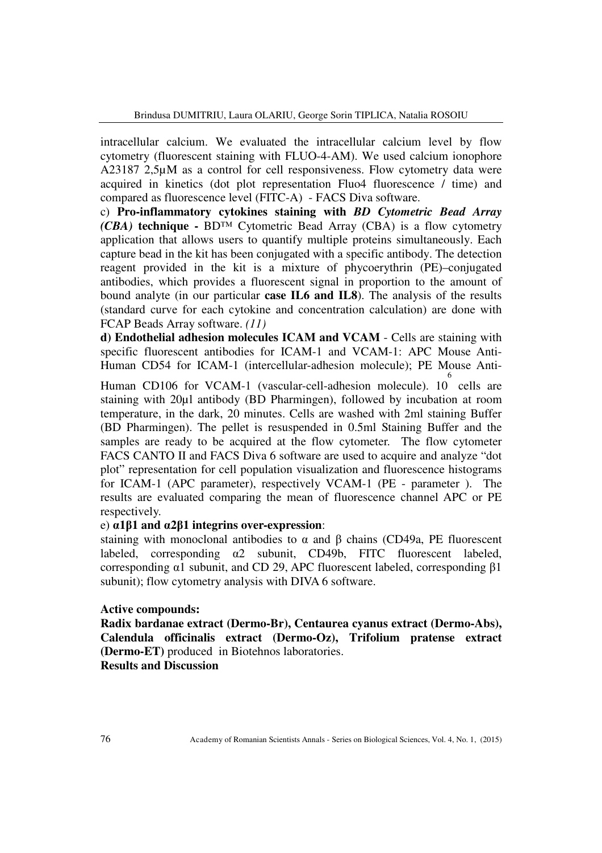intracellular calcium. We evaluated the intracellular calcium level by flow cytometry (fluorescent staining with FLUO-4-AM). We used calcium ionophore A23187 2,5µM as a control for cell responsiveness. Flow cytometry data were acquired in kinetics (dot plot representation Fluo4 fluorescence / time) and compared as fluorescence level (FITC-A) - FACS Diva software.

c) **Pro-inflammatory cytokines staining with** *BD Cytometric Bead Array (CBA)* **technique -** BD™ Cytometric Bead Array (CBA) is a flow cytometry application that allows users to quantify multiple proteins simultaneously. Each capture bead in the kit has been conjugated with a specific antibody. The detection reagent provided in the kit is a mixture of phycoerythrin (PE)–conjugated antibodies, which provides a fluorescent signal in proportion to the amount of bound analyte (in our particular **case IL6 and IL8**). The analysis of the results (standard curve for each cytokine and concentration calculation) are done with FCAP Beads Array software. *(11)* 

**d) Endothelial adhesion molecules ICAM and VCAM** - Cells are staining with specific fluorescent antibodies for ICAM-1 and VCAM-1: APC Mouse Anti-Human CD54 for ICAM-1 (intercellular-adhesion molecule); PE Mouse Anti-6

Human CD106 for VCAM-1 (vascular-cell-adhesion molecule). 10 cells are staining with 20µl antibody (BD Pharmingen), followed by incubation at room temperature, in the dark, 20 minutes. Cells are washed with 2ml staining Buffer (BD Pharmingen). The pellet is resuspended in 0.5ml Staining Buffer and the samples are ready to be acquired at the flow cytometer. The flow cytometer FACS CANTO II and FACS Diva 6 software are used to acquire and analyze "dot plot" representation for cell population visualization and fluorescence histograms for ICAM-1 (APC parameter), respectively VCAM-1 (PE - parameter ). The results are evaluated comparing the mean of fluorescence channel APC or PE respectively.

#### e) **α1β1 and α2β1 integrins over-expression**:

staining with monoclonal antibodies to  $\alpha$  and  $\beta$  chains (CD49a, PE fluorescent labeled, corresponding α2 subunit, CD49b, FITC fluorescent labeled, corresponding α1 subunit, and CD 29, APC fluorescent labeled, corresponding β1 subunit); flow cytometry analysis with DIVA 6 software.

#### **Active compounds:**

**Radix bardanae extract (Dermo-Br), Centaurea cyanus extract (Dermo-Abs), Calendula officinalis extract (Dermo-Oz), Trifolium pratense extract (Dermo-ET)** produced in Biotehnos laboratories.

**Results and Discussion**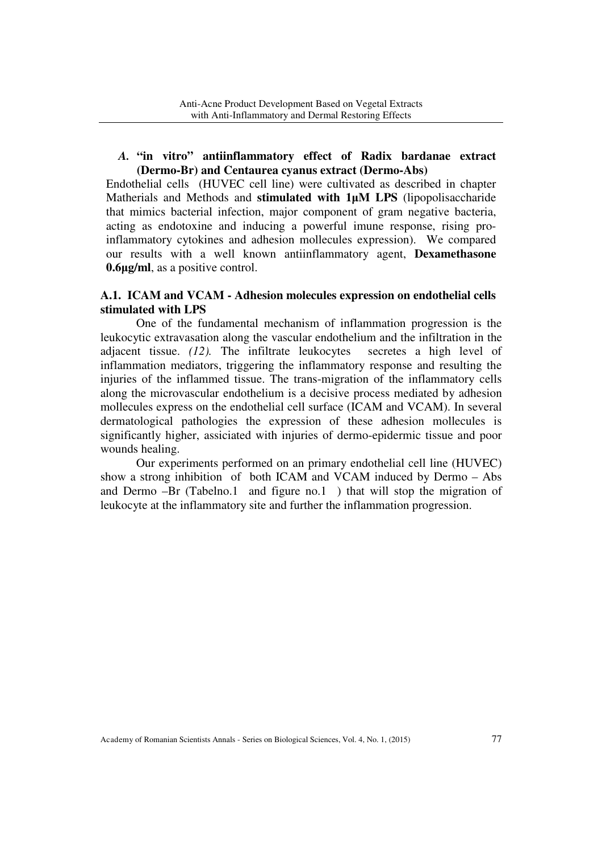## *A.* **"in vitro" antiinflammatory effect of Radix bardanae extract (Dermo-Br) and Centaurea cyanus extract (Dermo-Abs)**

Endothelial cells (HUVEC cell line) were cultivated as described in chapter Matherials and Methods and **stimulated with 1µM LPS** (lipopolisaccharide that mimics bacterial infection, major component of gram negative bacteria, acting as endotoxine and inducing a powerful imune response, rising proinflammatory cytokines and adhesion mollecules expression). We compared our results with a well known antiinflammatory agent, **Dexamethasone 0.6µg/ml**, as a positive control.

## **A.1. ICAM and VCAM - Adhesion molecules expression on endothelial cells stimulated with LPS**

One of the fundamental mechanism of inflammation progression is the leukocytic extravasation along the vascular endothelium and the infiltration in the adjacent tissue. *(12).* The infiltrate leukocytes secretes a high level of inflammation mediators, triggering the inflammatory response and resulting the injuries of the inflammed tissue. The trans-migration of the inflammatory cells along the microvascular endothelium is a decisive process mediated by adhesion mollecules express on the endothelial cell surface (ICAM and VCAM). In several dermatological pathologies the expression of these adhesion mollecules is significantly higher, assiciated with injuries of dermo-epidermic tissue and poor wounds healing.

Our experiments performed on an primary endothelial cell line (HUVEC) show a strong inhibition of both ICAM and VCAM induced by Dermo – Abs and Dermo –Br (Tabelno.1 and figure no.1 ) that will stop the migration of leukocyte at the inflammatory site and further the inflammation progression.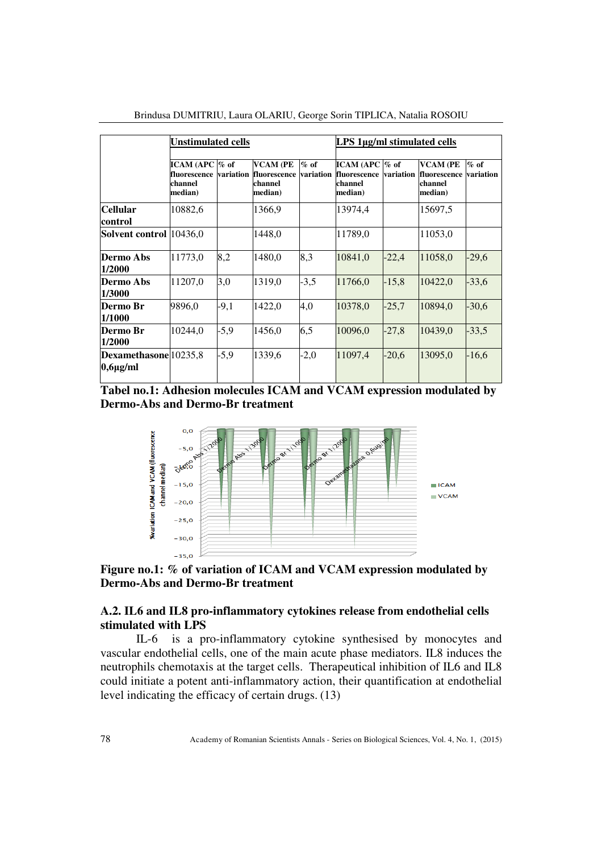|                                        | <b>Unstimulated cells</b>                                         |        |                                                       |                     | LPS 1µg/ml stimulated cells                             |           |                                                       |                     |
|----------------------------------------|-------------------------------------------------------------------|--------|-------------------------------------------------------|---------------------|---------------------------------------------------------|-----------|-------------------------------------------------------|---------------------|
|                                        | ICAM (APC $\%$ of<br>fluorescence variation<br>channel<br>median) |        | <b>VCAM (PE</b><br>fluorescence<br>channel<br>median) | $%$ of<br>variation | ICAM (APC $\%$ of<br>fluorescence<br>channel<br>median) | variation | <b>VCAM (PE</b><br>fluorescence<br>channel<br>median) | $%$ of<br>variation |
| <b>Cellular</b><br>control             | 10882,6                                                           |        | 1366,9                                                |                     | 13974,4                                                 |           | 15697,5                                               |                     |
| Solvent control 10436,0                |                                                                   |        | 1448,0                                                |                     | 11789,0                                                 |           | 11053,0                                               |                     |
| Dermo Abs<br>1/2000                    | 11773,0                                                           | 8,2    | 1480.0                                                | 8,3                 | 10841,0                                                 | $-22,4$   | 11058,0                                               | $-29,6$             |
| <b>Dermo Abs</b><br>1/3000             | 11207,0                                                           | 3,0    | 1319,0                                                | $-3,5$              | 11766,0                                                 | $-15,8$   | 10422,0                                               | $-33,6$             |
| Dermo Br<br>1/1000                     | 9896,0                                                            | $-9,1$ | 1422,0                                                | 4,0                 | 10378,0                                                 | $-25,7$   | 10894,0                                               | $-30,6$             |
| Dermo Br<br>1/2000                     | 10244,0                                                           | $-5,9$ | 1456,0                                                | 6,5                 | 10096,0                                                 | $-27,8$   | 10439,0                                               | $-33,5$             |
| Dexamethasone 10235,8<br>$0,6\mu$ g/ml |                                                                   | $-5,9$ | 1339,6                                                | $-2,0$              | 11097,4                                                 | $-20,6$   | 13095,0                                               | $-16,6$             |

Brindusa DUMITRIU, Laura OLARIU, George Sorin TIPLICA, Natalia ROSOIU

**Tabel no.1: Adhesion molecules ICAM and VCAM expression modulated by Dermo-Abs and Dermo-Br treatment** 



**Figure no.1: % of variation of ICAM and VCAM expression modulated by Dermo-Abs and Dermo-Br treatment** 

#### **A.2. IL6 and IL8 pro-inflammatory cytokines release from endothelial cells stimulated with LPS**

IL-6 is a pro-inflammatory cytokine synthesised by monocytes and vascular endothelial cells, one of the main acute phase mediators. IL8 induces the neutrophils chemotaxis at the target cells. Therapeutical inhibition of IL6 and IL8 could initiate a potent anti-inflammatory action, their quantification at endothelial level indicating the efficacy of certain drugs. (13)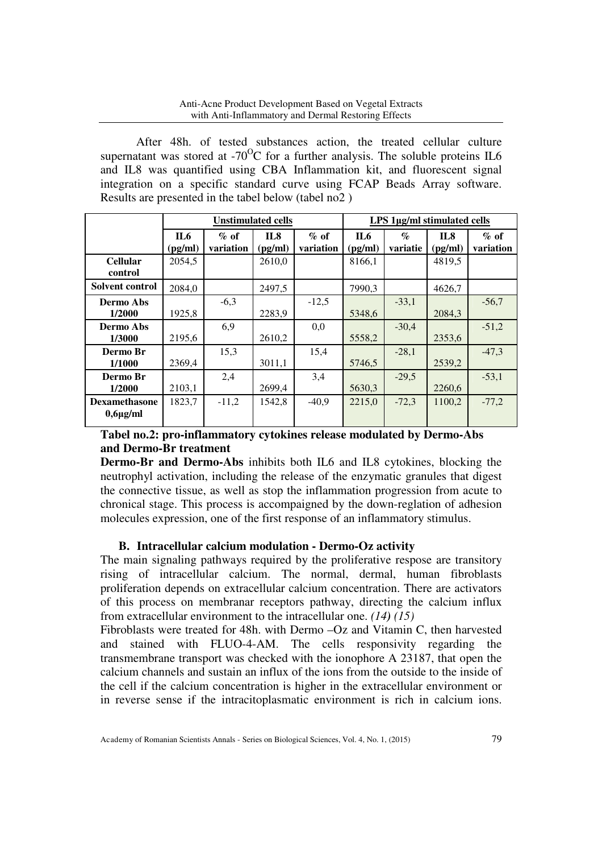After 48h. of tested substances action, the treated cellular culture supernatant was stored at -70<sup>o</sup>C for a further analysis. The soluble proteins IL6 and IL8 was quantified using CBA Inflammation kit, and fluorescent signal integration on a specific standard curve using FCAP Beads Array software. Results are presented in the tabel below (tabel no2 )

|                                       | <b>Unstimulated cells</b> |                      |                |                     | LPS 1µg/ml stimulated cells |                                    |                |                      |
|---------------------------------------|---------------------------|----------------------|----------------|---------------------|-----------------------------|------------------------------------|----------------|----------------------|
|                                       | $\Pi_6$<br>(pg/ml)        | $\%$ of<br>variation | IL8<br>(pg/ml) | $%$ of<br>variation | IL6<br>(pg/ml)              | $\mathcal{G}_{\Omega}$<br>variatie | IL8<br>(pg/ml) | $\%$ of<br>variation |
| <b>Cellular</b><br>control            | 2054,5                    |                      | 2610,0         |                     | 8166,1                      |                                    | 4819,5         |                      |
| Solvent control                       | 2084,0                    |                      | 2497,5         |                     | 7990.3                      |                                    | 4626.7         |                      |
| Dermo Abs<br>1/2000                   | 1925,8                    | $-6,3$               | 2283,9         | $-12,5$             | 5348.6                      | $-33,1$                            | 2084.3         | $-56,7$              |
| Dermo Abs<br>1/3000                   | 2195,6                    | 6,9                  | 2610,2         | 0,0                 | 5558,2                      | $-30,4$                            | 2353,6         | $-51,2$              |
| Dermo Br<br>1/1000                    | 2369,4                    | 15,3                 | 3011,1         | 15,4                | 5746,5                      | $-28,1$                            | 2539,2         | $-47,3$              |
| Dermo Br<br>1/2000                    | 2103,1                    | 2,4                  | 2699,4         | 3,4                 | 5630,3                      | $-29.5$                            | 2260,6         | $-53,1$              |
| <b>Dexamethasone</b><br>$0,6\mu$ g/ml | 1823,7                    | $-11.2$              | 1542,8         | $-40.9$             | 2215.0                      | $-72,3$                            | 1100.2         | $-77,2$              |

# **Tabel no.2: pro-inflammatory cytokines release modulated by Dermo-Abs and Dermo-Br treatment**

**Dermo-Br and Dermo-Abs** inhibits both IL6 and IL8 cytokines, blocking the neutrophyl activation, including the release of the enzymatic granules that digest the connective tissue, as well as stop the inflammation progression from acute to chronical stage. This process is accompaigned by the down-reglation of adhesion molecules expression, one of the first response of an inflammatory stimulus.

# **B. Intracellular calcium modulation - Dermo-Oz activity**

The main signaling pathways required by the proliferative respose are transitory rising of intracellular calcium. The normal, dermal, human fibroblasts proliferation depends on extracellular calcium concentration. There are activators of this process on membranar receptors pathway, directing the calcium influx from extracellular environment to the intracellular one. *(14) (15)* 

Fibroblasts were treated for 48h. with Dermo –Oz and Vitamin C, then harvested and stained with FLUO-4-AM. The cells responsivity regarding the transmembrane transport was checked with the ionophore A 23187, that open the calcium channels and sustain an influx of the ions from the outside to the inside of the cell if the calcium concentration is higher in the extracellular environment or in reverse sense if the intracitoplasmatic environment is rich in calcium ions.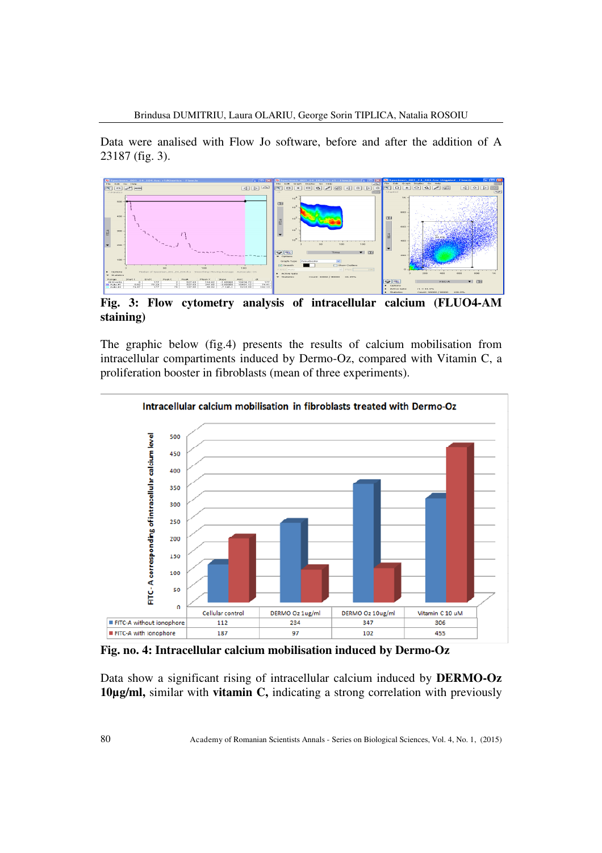Data were analised with Flow Jo software, before and after the addition of A 23187 (fig. 3).



**Fig. 3: Flow cytometry analysis of intracellular calcium (FLUO4-AM staining)** 

The graphic below (fig.4) presents the results of calcium mobilisation from intracellular compartiments induced by Dermo-Oz, compared with Vitamin C, a proliferation booster in fibroblasts (mean of three experiments).



**Fig. no. 4: Intracellular calcium mobilisation induced by Dermo-Oz** 

Data show a significant rising of intracellular calcium induced by **DERMO-Oz 10µg/ml,** similar with **vitamin C,** indicating a strong correlation with previously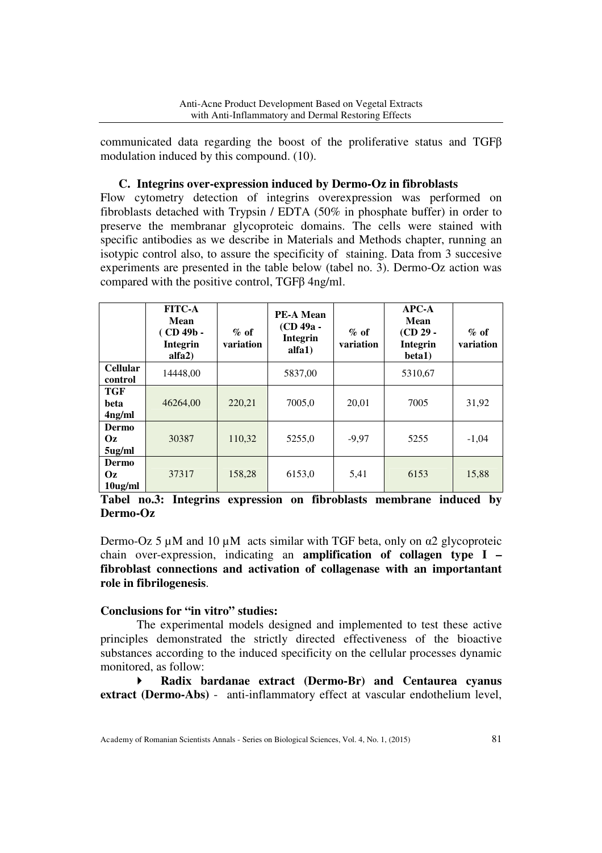communicated data regarding the boost of the proliferative status and TGFβ modulation induced by this compound. (10).

## **C. Integrins over-expression induced by Dermo-Oz in fibroblasts**

Flow cytometry detection of integrins overexpression was performed on fibroblasts detached with Trypsin / EDTA (50% in phosphate buffer) in order to preserve the membranar glycoproteic domains. The cells were stained with specific antibodies as we describe in Materials and Methods chapter, running an isotypic control also, to assure the specificity of staining. Data from 3 succesive experiments are presented in the table below (tabel no. 3). Dermo-Oz action was compared with the positive control, TGFβ 4ng/ml.

|                                   | <b>FITC-A</b><br><b>Mean</b><br>$(CD 49b -$<br><b>Integrin</b><br>alfa <sub>2</sub> ) | $\%$ of<br>variation | <b>PE-A Mean</b><br>(CD 49a -<br><b>Integrin</b><br>alfa1) | $\%$ of<br>variation | $APC-A$<br>Mean<br>$(CD 29 -$<br><b>Integrin</b><br>beta1) | $\%$ of<br>variation |
|-----------------------------------|---------------------------------------------------------------------------------------|----------------------|------------------------------------------------------------|----------------------|------------------------------------------------------------|----------------------|
| <b>Cellular</b><br>control        | 14448,00                                                                              |                      | 5837,00                                                    |                      | 5310,67                                                    |                      |
| TGF<br>beta<br>4 <sub>ng/ml</sub> | 46264,00                                                                              | 220,21               | 7005,0                                                     | 20,01                | 7005                                                       | 31,92                |
| Dermo<br>Oz.<br>5ug/ml            | 30387                                                                                 | 110,32               | 5255,0                                                     | $-9,97$              | 5255                                                       | $-1,04$              |
| Dermo<br><b>Oz</b><br>$10$ ug/ml  | 37317                                                                                 | 158,28               | 6153,0                                                     | 5,41                 | 6153                                                       | 15,88                |

# **Tabel no.3: Integrins expression on fibroblasts membrane induced by Dermo-Oz**

Dermo-Oz 5  $\mu$ M and 10  $\mu$ M acts similar with TGF beta, only on  $\alpha$ 2 glycoproteic chain over-expression, indicating an **amplification of collagen type I – fibroblast connections and activation of collagenase with an importantant role in fibrilogenesis**.

## **Conclusions for "in vitro" studies:**

The experimental models designed and implemented to test these active principles demonstrated the strictly directed effectiveness of the bioactive substances according to the induced specificity on the cellular processes dynamic monitored, as follow:

 **Radix bardanae extract (Dermo-Br) and Centaurea cyanus extract (Dermo-Abs)** - anti-inflammatory effect at vascular endothelium level,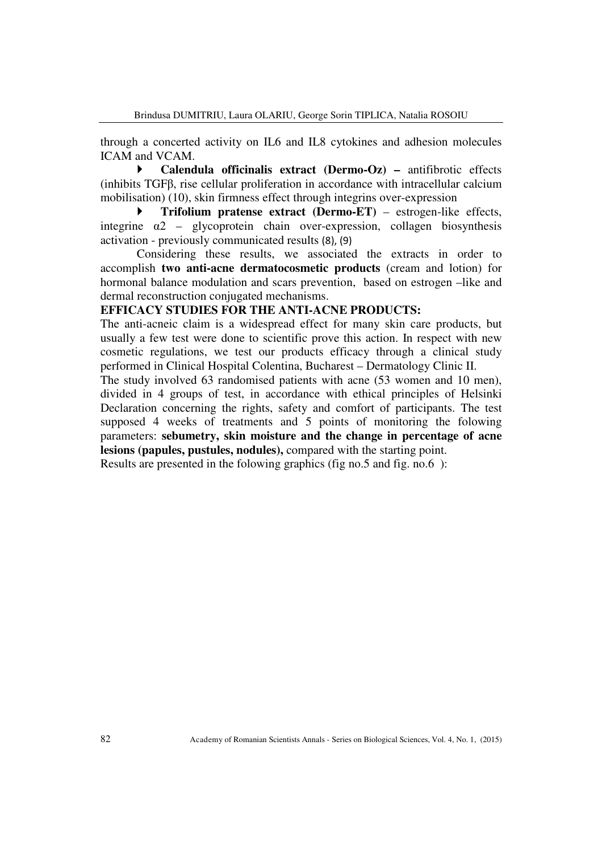through a concerted activity on IL6 and IL8 cytokines and adhesion molecules ICAM and VCAM.

 **Calendula officinalis extract (Dermo-Oz) –** antifibrotic effects (inhibits TGFβ, rise cellular proliferation in accordance with intracellular calcium mobilisation) (10), skin firmness effect through integrins over-expression

 **Trifolium pratense extract (Dermo-ET)** – estrogen-like effects, integrine  $\alpha$ 2 – glycoprotein chain over-expression, collagen biosynthesis activation - previously communicated results (8), (9)

Considering these results, we associated the extracts in order to accomplish **two anti-acne dermatocosmetic products** (cream and lotion) for hormonal balance modulation and scars prevention, based on estrogen –like and dermal reconstruction conjugated mechanisms.

## **EFFICACY STUDIES FOR THE ANTI-ACNE PRODUCTS:**

The anti-acneic claim is a widespread effect for many skin care products, but usually a few test were done to scientific prove this action. In respect with new cosmetic regulations, we test our products efficacy through a clinical study performed in Clinical Hospital Colentina, Bucharest – Dermatology Clinic II.

The study involved 63 randomised patients with acne (53 women and 10 men), divided in 4 groups of test, in accordance with ethical principles of Helsinki Declaration concerning the rights, safety and comfort of participants. The test supposed 4 weeks of treatments and 5 points of monitoring the folowing parameters: **sebumetry, skin moisture and the change in percentage of acne lesions (papules, pustules, nodules),** compared with the starting point.

Results are presented in the folowing graphics (fig no.5 and fig. no.6 ):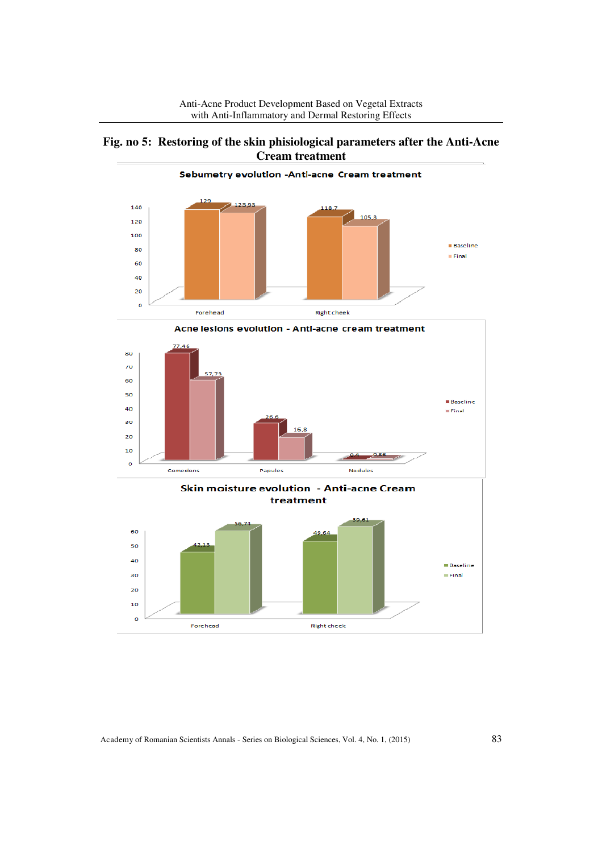







Academy of Romanian Scientists Annals - Series on Biological Sciences, Vol. 4, No. 1, (2015) 83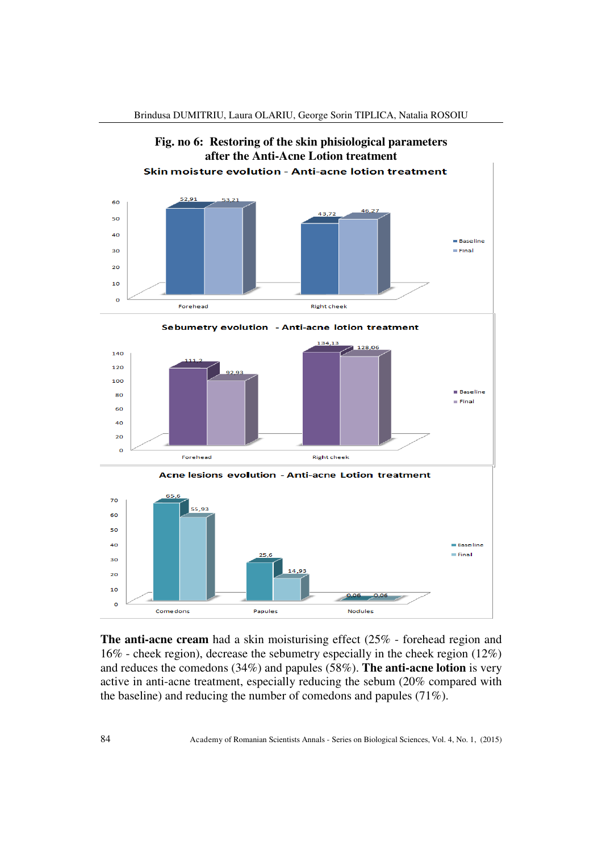

Brindusa DUMITRIU, Laura OLARIU, George Sorin TIPLICA, Natalia ROSOIU

**The anti-acne cream** had a skin moisturising effect (25% - forehead region and 16% - cheek region), decrease the sebumetry especially in the cheek region (12%) and reduces the comedons (34%) and papules (58%). **The anti-acne lotion** is very active in anti-acne treatment, especially reducing the sebum (20% compared with the baseline) and reducing the number of comedons and papules (71%).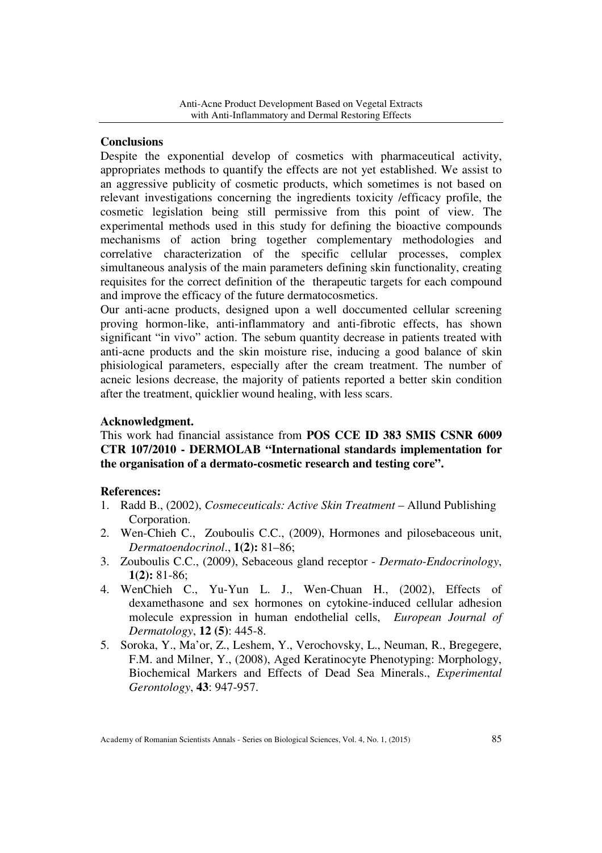#### **Conclusions**

Despite the exponential develop of cosmetics with pharmaceutical activity, appropriates methods to quantify the effects are not yet established. We assist to an aggressive publicity of cosmetic products, which sometimes is not based on relevant investigations concerning the ingredients toxicity /efficacy profile, the cosmetic legislation being still permissive from this point of view. The experimental methods used in this study for defining the bioactive compounds mechanisms of action bring together complementary methodologies and correlative characterization of the specific cellular processes, complex simultaneous analysis of the main parameters defining skin functionality, creating requisites for the correct definition of the therapeutic targets for each compound and improve the efficacy of the future dermatocosmetics.

Our anti-acne products, designed upon a well doccumented cellular screening proving hormon-like, anti-inflammatory and anti-fibrotic effects, has shown significant "in vivo" action. The sebum quantity decrease in patients treated with anti-acne products and the skin moisture rise, inducing a good balance of skin phisiological parameters, especially after the cream treatment. The number of acneic lesions decrease, the majority of patients reported a better skin condition after the treatment, quicklier wound healing, with less scars.

#### **Acknowledgment.**

This work had financial assistance from **POS CCE ID 383 SMIS CSNR 6009 CTR 107/2010 - DERMOLAB "International standards implementation for the organisation of a dermato-cosmetic research and testing core".** 

#### **References:**

- 1. Radd B., (2002), *Cosmeceuticals: Active Skin Treatment* Allund Publishing Corporation.
- 2. Wen-Chieh C., Zouboulis C.C., (2009), Hormones and pilosebaceous unit, *Dermatoendocrinol*., **1(2):** 81–86;
- 3. Zouboulis C.C., (2009), Sebaceous gland receptor *Dermato-Endocrinology*, **1(2):** 81-86;
- 4. WenChieh C., Yu-Yun L. J., Wen-Chuan H., (2002), Effects of dexamethasone and sex hormones on cytokine-induced cellular adhesion molecule expression in human endothelial cells, *European Journal of Dermatology*, **12 (5)**: 445-8.
- 5. Soroka, Y., Ma'or, Z., Leshem, Y., Verochovsky, L., Neuman, R., Bregegere, F.M. and Milner, Y., (2008), Aged Keratinocyte Phenotyping: Morphology, Biochemical Markers and Effects of Dead Sea Minerals., *Experimental Gerontology*, **43**: 947-957.